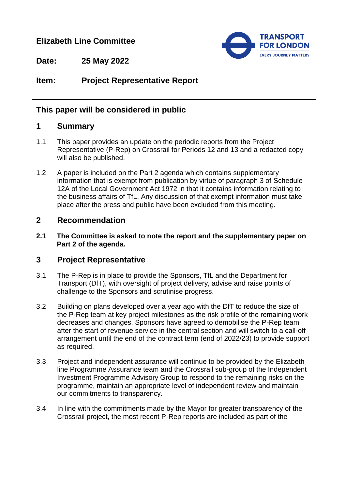## **Elizabeth Line Committee**



**Date: 25 May 2022**

# **Item: Project Representative Report**

### **This paper will be considered in public**

### **1 Summary**

- 1.1 This paper provides an update on the periodic reports from the Project Representative (P-Rep) on Crossrail for Periods 12 and 13 and a redacted copy will also be published.
- 1.2 A paper is included on the Part 2 agenda which contains supplementary information that is exempt from publication by virtue of paragraph 3 of Schedule 12A of the Local Government Act 1972 in that it contains information relating to the business affairs of TfL. Any discussion of that exempt information must take place after the press and public have been excluded from this meeting.

### **2 Recommendation**

**2.1 The Committee is asked to note the report and the supplementary paper on Part 2 of the agenda.**

### **3 Project Representative**

- 3.1 The P-Rep is in place to provide the Sponsors, TfL and the Department for Transport (DfT), with oversight of project delivery, advise and raise points of challenge to the Sponsors and scrutinise progress.
- 3.2 Building on plans developed over a year ago with the DfT to reduce the size of the P-Rep team at key project milestones as the risk profile of the remaining work decreases and changes, Sponsors have agreed to demobilise the P-Rep team after the start of revenue service in the central section and will switch to a call-off arrangement until the end of the contract term (end of 2022/23) to provide support as required.
- 3.3 Project and independent assurance will continue to be provided by the Elizabeth line Programme Assurance team and the Crossrail sub-group of the Independent Investment Programme Advisory Group to respond to the remaining risks on the programme, maintain an appropriate level of independent review and maintain our commitments to transparency.
- 3.4 In line with the commitments made by the Mayor for greater transparency of the Crossrail project, the most recent P-Rep reports are included as part of the